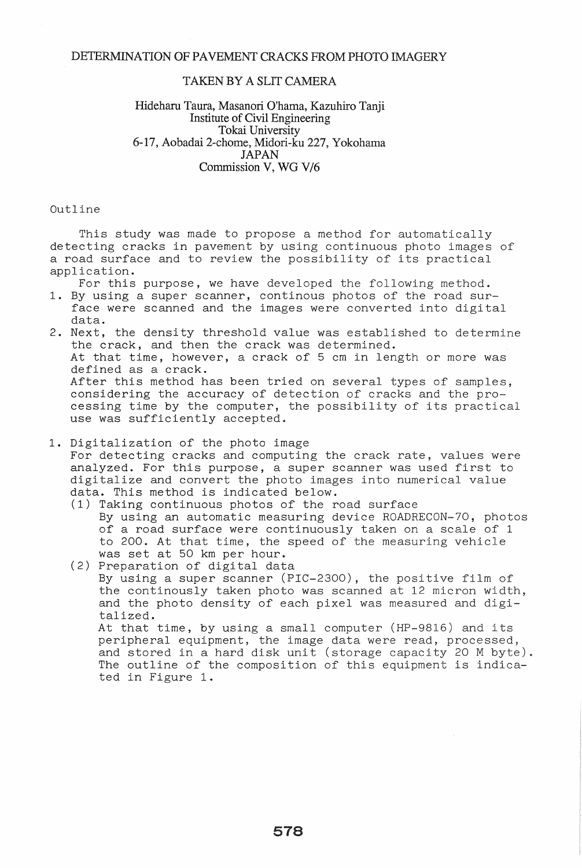## TAKEN BY A SLIT CAMERA

## Hideharu Taura, Masanori O'hama, Kazuhiro Tanji Institute of Civil Engineering Tokai University 6-17, Aobadai 2-chome, Midori-ku 227, Yokohama JAPAN Commission V, WG V/6

Outline

This study was made to propose a method for automatically detecting cracks in pavement by using continuous photo images of a road surface and to review the possibility of its practical application.

For this purpose, we have developed the following method.

- 1. By using a super scanner, continous photos of the road surface were scanned and the images were converted into digital data.
- 2. Next, the density threshold value was established to determine the crack, and then the crack was determined. At that time, however, a crack of 5 cm in length or more was defined as a crack. After this method has been tried on several types of samples, considering the accuracy of detection of cracks and the processing time by the computer, the possibility of its practical use was sufficiently accepted.
- 1. Digitalization of the photo image

For detecting cracks and computing the crack rate, values were analyzed. For this purpose, a super scanner was used first to digitalize and convert the photo images into numerical value data. This method is indicated below.

- (1) Taking continuous photos of the road surface By using an automatic measuring device ROADRECON-70, photos of a road surface were continuously taken on a scale of 1 to 200. At that time, the speed of the measuring vehicle was set at 50 km per hour.
- (2) Preparation of digital data By using a super scanner (PIC-2300), the positive film of the continously taken photo was scanned at 12 micron width, and the photo density of each pixel was measured and digitalized.

At that time, by using a small computer (HP-9816) and its peripheral equipment, the image data were read, processed, and stored in a hard disk unit (storage capacity 20 M byte). The outline of the composition of this equipment is indicated in Figure 1.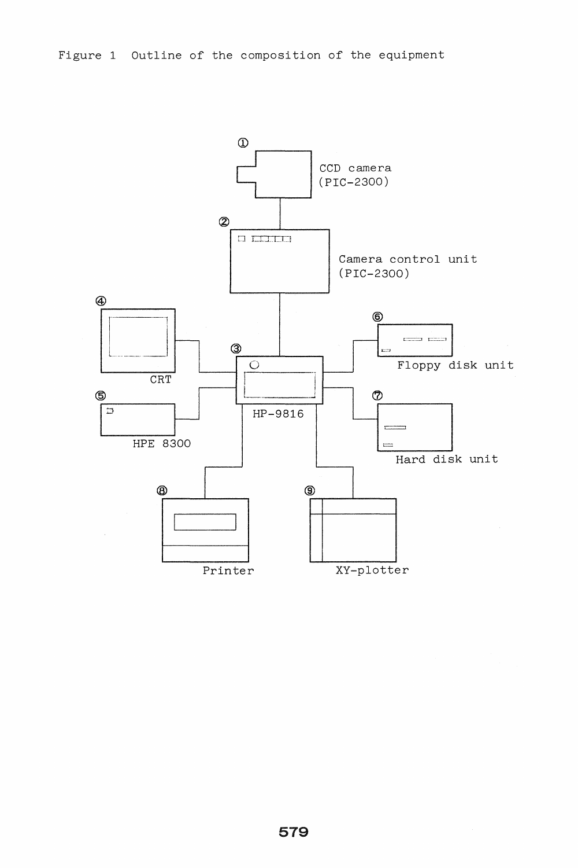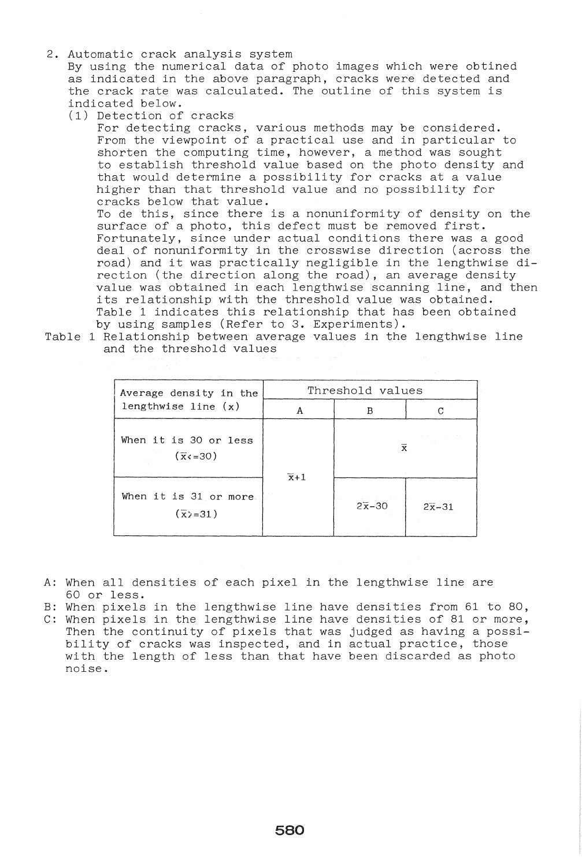2. Automatic crack analysis system

By using the numerical data of photo images which were obtined as indicated in the above paragraph, cracks were detected and the crack rate was calculated. The outline of this system is indicated below.

(1) Detection of cracks

For detecting cracks, various methods may be considered. From the viewpoint of a practical use and in particular to shorten the computing time, however, a method was sought to establish threshold value based on the photo density and that would determine a possibility for cracks at a value higher than that threshold value and no possibility for cracks below that value. To de this, since there is a nonuniformity of density on the surface of a photo, this defect must be removed first. Fortunately, since under actual conditions there was a good deal of nonuniformity in the crosswise direction (across the road) and it was practically negligible in the lengthwise direction (the direction along the road), an average density value was obtained in each lengthwise scanning line, and then its relationship with the threshold value was obtained. Table 1 indicates this relationship that has been obtained by using samples (Refer to 3. Experiments).

Table 1 Relationship between average values in the lengthwise line and the threshold values

| Average density in the<br>lengthwise line $(x)$  | Threshold values |                 |           |
|--------------------------------------------------|------------------|-----------------|-----------|
|                                                  | A                | в               | C         |
| When it is 30 or less<br>$(\overline{x}$ ( = 30) | $\overline{x}+1$ | $\bar{x}$       |           |
| When it is 31 or more<br>$(\overline{x})=31$ )   |                  | $2\bar{x} - 30$ | $2x - 31$ |

- A: When all densities of each pixel in the lengthwise line are 60 or less.
- B: When pixels in the lengthwise line have densities from 61 to 80,
- C: When pixels in the lengthwise line have densities of 81 or more, Then the continuity of pixels that was judged as having a possibility of cracks was inspected, and in actual practice, those with the length of less than that have been discarded as photo noise.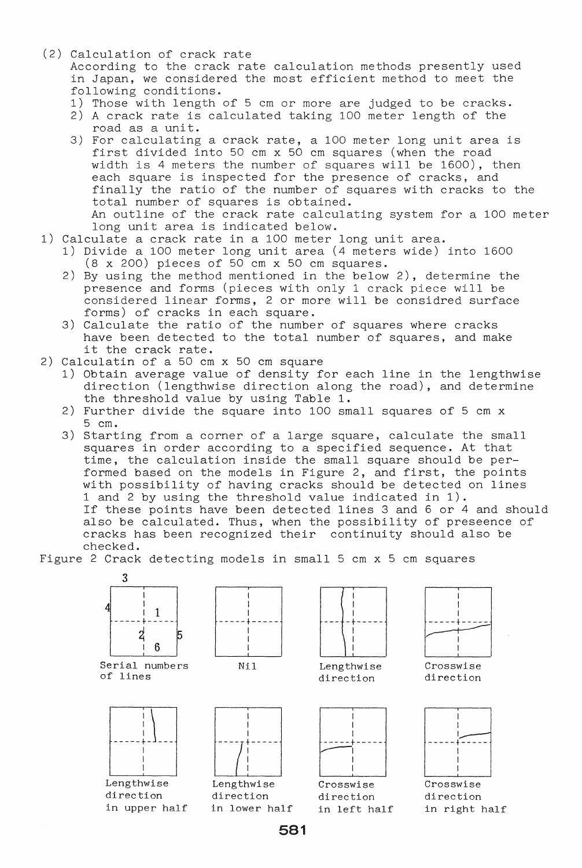(2) Calculation of crack rate

According to the crack rate caloulation methods presently used in Japan, we considered the most efficient method to meet the following conditions.

- 1) Those with length of 5 cm or more are judged to be cracks.
- 2) A crack rate is calculated taking 100 meter length of the road as a unit.
- 3) For calculating a crack rate, a 100 meter long unit area is first divided into 50 cm x 50 cm squares (when the road width is 4 meters the number of squares will be 1600), then each square is inspected for the presence of cracks, and finally the ratio of the number of squares with cracks to the total number of squares is obtained. An outline of the crack rate calculating system for a 100 meter long unit area is indicated below.
- 1) Calculate a crack rate in a 100 meter long unit area.
	- 1) Divide a 100 meter long unit area (4 meters wide) into 1600  $(8 \times 200)$  pieces of 50 cm  $\times$  50 cm squares.
	- 2) By using the method mentioned in the below 2), determine the presence and forms (pieces with only 1 crack piece will be considered linear forms, 2 or more will be considred surface forms) of cracks in each square.
	- 3) Calculate the ratio of the number of squares where cracks have been detected to the total number of squares, and make it the crack rate.
- 2) Calculatin of a 50 cm x 50 em square
	- 1) Obtain average value of density for each line in the lengthwise direction (lengthwise direction along the road), and determine the threshold value by using Table 1.
	- 2) Further divide the square into 100 small squares of 5 cm x 5 cm.
	- 3) Starting from a corner of a large square, calculate the small squares in order according to a specified sequence. At that time, the calculation inside the small square should be performed based on the models in Figure 2, and first, the points with possibility of having cracks should be detected on lines 1 and 2 by using the threshold value indicated in 1). If these points have been detected lines 3 and 6 or 4 and should also be calculated. Thus, when the possibility of preseence of

cracks has been recognized their continuity should also be checked.

Figure 2 Crack detecting models in small 5 cm x 5 cm squares



581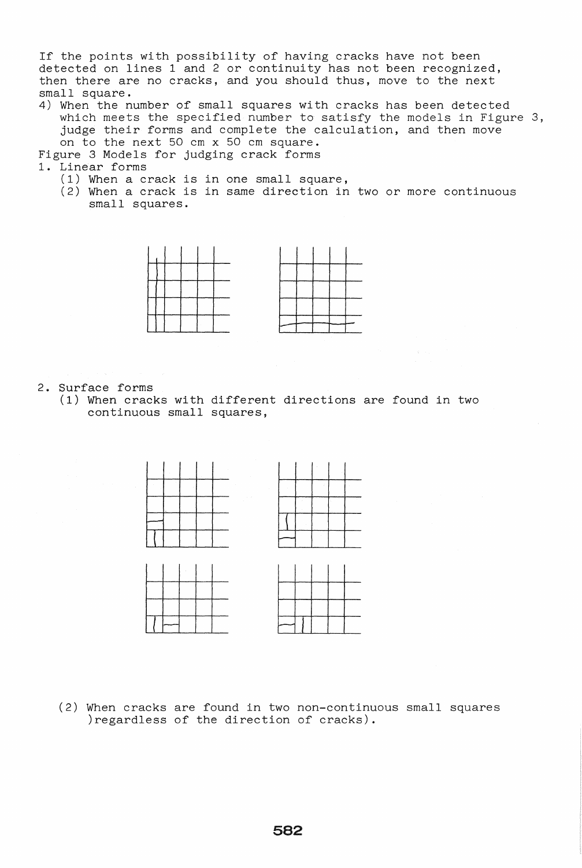If the points with possibility of having cracks have not been detected on lines 1 and 2 or continuity has not been recognized, then there are no cracks, and you should thus, move to the next small square.

4) When the number of small squares with cracks has been detected which meets the specified number to satisfy the models in Figure 3, judge their forms and complete the calculation, and then move on to the next 50 cm x 50 cm square.

Figure 3 Models for judging crack forms

- 1. Linear forms
	- (1) When a crack is in one small square,
	- (2) When a crack is in same direction in two or more continuous small squares.



2. Surface forms

(1) When cracks with different directions are found in two continuous small squares,



(2) When cracks are found in two non-continuous small squares )regardless of the direction of cracks).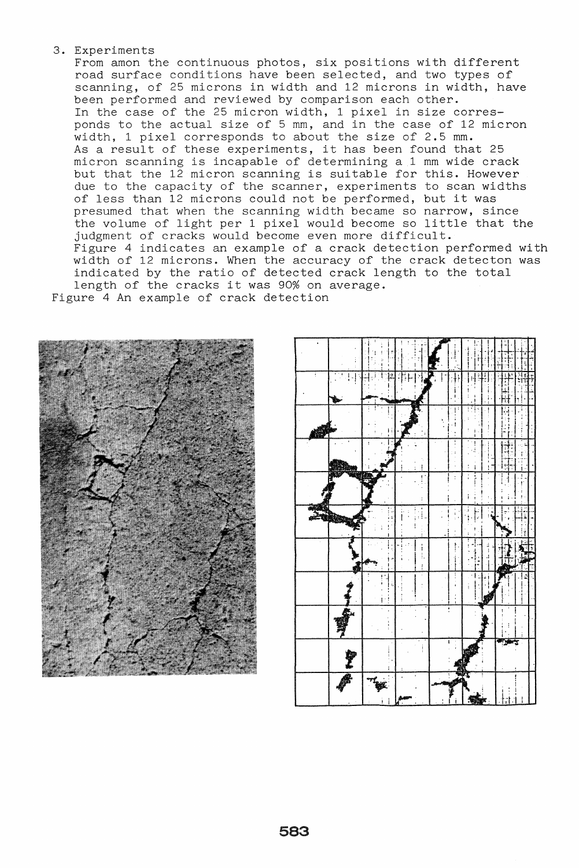## 3. Experiments

From amon the continuous photos, six positions with different road surface conditions have been selected, and two types of scanning, of 25 microns in width and 12 microns in width, have been performed and reviewed by comparison each other. In the case of the 25 micron width, 1 pixel in size corresponds to the actual size of 5 mm, and in the case of 12 micron width, 1 pixel corresponds to about the size of 2.5 mm. As a result of these experiments, it has been found that 25 micron scanning is incapable of determining a 1 mm wide crack micron scanning is incapable of accommining a 1 mm wide crack<br>but that the 12 micron scanning is suitable for this. However due to the capacity of the scanner, experiments to scan widths of less than 12 microns could not be performed, but it was presumed that when the scanning width became so narrow, since the volume of light per 1 pixel would become so little that the judgment of cracks would become even more difficult. Figure 4 indicates an example of a crack detection performed with width of 12 microns. When the accuracy of the crack detecton was indicated by the ratio of detected crack length to the total length of the cracks it was 90% on average. Figure 4 An example of crack detection